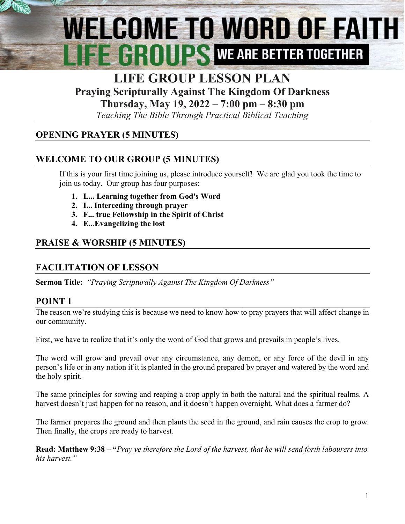# WELCOME TO WORD OF FAITH E HIMILIAN WE ARE BETTER TOGETHER

# **LIFE GROUP LESSON PLAN Praying Scripturally Against The Kingdom Of Darkness**

**Thursday, May 19, 2022 – 7:00 pm – 8:30 pm**

*Teaching The Bible Through Practical Biblical Teaching*

## **OPENING PRAYER (5 MINUTES)**

## **WELCOME TO OUR GROUP (5 MINUTES)**

If this is your first time joining us, please introduce yourself! We are glad you took the time to join us today. Our group has four purposes:

- **1. L... Learning together from God's Word**
- **2. I... Interceding through prayer**
- **3. F... true Fellowship in the Spirit of Christ**
- **4. E..[.Evangelizing](http://www.christianwitnessingtools.com/) the lost**

## **PRAISE & WORSHIP (5 MINUTES)**

### **FACILITATION OF LESSON**

**Sermon Title:** *"Praying Scripturally Against The Kingdom Of Darkness"*

### **POINT 1**

The reason we're studying this is because we need to know how to pray prayers that will affect change in our community.

First, we have to realize that it's only the word of God that grows and prevails in people's lives.

The word will grow and prevail over any circumstance, any demon, or any force of the devil in any person's life or in any nation if it is planted in the ground prepared by prayer and watered by the word and the holy spirit.

The same principles for sowing and reaping a crop apply in both the natural and the spiritual realms. A harvest doesn't just happen for no reason, and it doesn't happen overnight. What does a farmer do?

The farmer prepares the ground and then plants the seed in the ground, and rain causes the crop to grow. Then finally, the crops are ready to harvest.

**Read: Matthew 9:38 – "***Pray ye therefore the Lord of the harvest, that he will send forth labourers into his harvest."*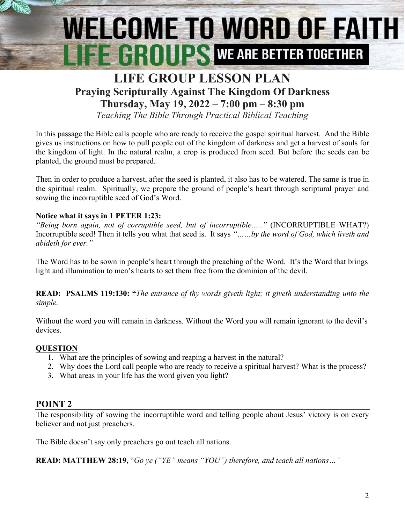# WELCOME TO WORD OF FAITH **FE CROUPS WE ARE BETTER TOGETHER**

## **LIFE GROUP LESSON PLAN Praying Scripturally Against The Kingdom Of Darkness Thursday, May 19, 2022 – 7:00 pm – 8:30 pm**

*Teaching The Bible Through Practical Biblical Teaching*

In this passage the Bible calls people who are ready to receive the gospel spiritual harvest. And the Bible gives us instructions on how to pull people out of the kingdom of darkness and get a harvest of souls for the kingdom of light. In the natural realm, a crop is produced from seed. But before the seeds can be planted, the ground must be prepared.

Then in order to produce a harvest, after the seed is planted, it also has to be watered. The same is true in the spiritual realm. Spiritually, we prepare the ground of people's heart through scriptural prayer and sowing the incorruptible seed of God's Word.

#### **Notice what it says in 1 PETER 1:23:**

*"Being born again, not of corruptible seed, but of incorruptible….."* (INCORRUPTIBLE WHAT?) Incorruptible seed! Then it tells you what that seed is. It says *"……by the word of God, which liveth and abideth for ever."*

The Word has to be sown in people's heart through the preaching of the Word. It's the Word that brings light and illumination to men's hearts to set them free from the dominion of the devil.

**READ: PSALMS 119:130: "***The entrance of thy words giveth light; it giveth understanding unto the simple.*

Without the word you will remain in darkness. Without the Word you will remain ignorant to the devil's devices.

#### **QUESTION**

- 1. What are the principles of sowing and reaping a harvest in the natural?
- 2. Why does the Lord call people who are ready to receive a spiritual harvest? What is the process?
- 3. What areas in your life has the word given you light?

#### **POINT 2**

The responsibility of sowing the incorruptible word and telling people about Jesus' victory is on every believer and not just preachers.

The Bible doesn't say only preachers go out teach all nations.

**READ: MATTHEW 28:19,** "*Go ye ("YE" means "YOU") therefore, and teach all nations…"*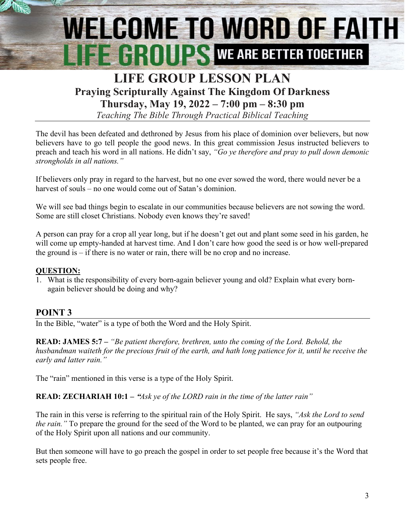# WELCOME TO WORD OF FAITH **THE GROUPS WE ARE BETTER TOGETHER**

## **LIFE GROUP LESSON PLAN Praying Scripturally Against The Kingdom Of Darkness Thursday, May 19, 2022 – 7:00 pm – 8:30 pm**

*Teaching The Bible Through Practical Biblical Teaching*

The devil has been defeated and dethroned by Jesus from his place of dominion over believers, but now believers have to go tell people the good news. In this great commission Jesus instructed believers to preach and teach his word in all nations. He didn't say, *"Go ye therefore and pray to pull down demonic strongholds in all nations."*

If believers only pray in regard to the harvest, but no one ever sowed the word, there would never be a harvest of souls – no one would come out of Satan's dominion.

We will see bad things begin to escalate in our communities because believers are not sowing the word. Some are still closet Christians. Nobody even knows they're saved!

A person can pray for a crop all year long, but if he doesn't get out and plant some seed in his garden, he will come up empty-handed at harvest time. And I don't care how good the seed is or how well-prepared the ground is – if there is no water or rain, there will be no crop and no increase.

#### **QUESTION:**

1. What is the responsibility of every born-again believer young and old? Explain what every bornagain believer should be doing and why?

### **POINT 3**

In the Bible, "water" is a type of both the Word and the Holy Spirit.

**READ: JAMES 5:7 –** *"Be patient therefore, brethren, unto the coming of the Lord. Behold, the husbandman waiteth for the precious fruit of the earth, and hath long patience for it, until he receive the early and latter rain."*

The "rain" mentioned in this verse is a type of the Holy Spirit.

**READ: ZECHARIAH 10:1 – "***Ask ye of the LORD rain in the time of the latter rain"*

The rain in this verse is referring to the spiritual rain of the Holy Spirit. He says, *"Ask the Lord to send the rain."* To prepare the ground for the seed of the Word to be planted, we can pray for an outpouring of the Holy Spirit upon all nations and our community.

But then someone will have to go preach the gospel in order to set people free because it's the Word that sets people free.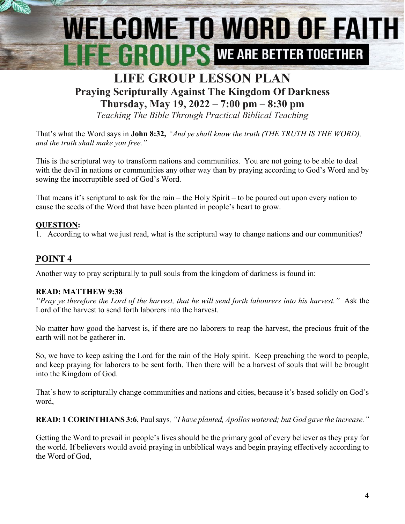# **WELCOME TO WORD OF FAITH** EEHIILS WE ARE BETTER TOGETHER

## **LIFE GROUP LESSON PLAN Praying Scripturally Against The Kingdom Of Darkness Thursday, May 19, 2022 – 7:00 pm – 8:30 pm**

*Teaching The Bible Through Practical Biblical Teaching*

That's what the Word says in **John 8:32,** *"And ye shall know the truth (THE TRUTH IS THE WORD), and the truth shall make you free."*

This is the scriptural way to transform nations and communities. You are not going to be able to deal with the devil in nations or communities any other way than by praying according to God's Word and by sowing the incorruptible seed of God's Word.

That means it's scriptural to ask for the rain – the Holy Spirit – to be poured out upon every nation to cause the seeds of the Word that have been planted in people's heart to grow.

#### **QUESTION:**

1. According to what we just read, what is the scriptural way to change nations and our communities?

### **POINT 4**

Another way to pray scripturally to pull souls from the kingdom of darkness is found in:

#### **READ: MATTHEW 9:38**

*"Pray ye therefore the Lord of the harvest, that he will send forth labourers into his harvest."* Ask the Lord of the harvest to send forth laborers into the harvest.

No matter how good the harvest is, if there are no laborers to reap the harvest, the precious fruit of the earth will not be gatherer in.

So, we have to keep asking the Lord for the rain of the Holy spirit. Keep preaching the word to people, and keep praying for laborers to be sent forth. Then there will be a harvest of souls that will be brought into the Kingdom of God.

That's how to scripturally change communities and nations and cities, because it's based solidly on God's word,

**READ: 1 CORINTHIANS 3:6**, Paul says*, "I have planted, Apollos watered; but God gave the increase."*

Getting the Word to prevail in people's lives should be the primary goal of every believer as they pray for the world. If believers would avoid praying in unbiblical ways and begin praying effectively according to the Word of God,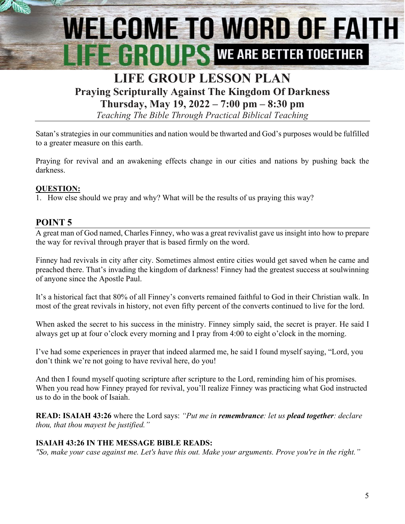# **WELCOME TO WORD OF FAITH EE GROUPS WE ARE BETTER TOGETHER**

## **LIFE GROUP LESSON PLAN Praying Scripturally Against The Kingdom Of Darkness Thursday, May 19, 2022 – 7:00 pm – 8:30 pm**

*Teaching The Bible Through Practical Biblical Teaching*

Satan's strategies in our communities and nation would be thwarted and God's purposes would be fulfilled to a greater measure on this earth.

Praying for revival and an awakening effects change in our cities and nations by pushing back the darkness.

#### **QUESTION:**

1. How else should we pray and why? What will be the results of us praying this way?

#### **POINT 5**

A great man of God named, Charles Finney, who was a great revivalist gave us insight into how to prepare the way for revival through prayer that is based firmly on the word.

Finney had revivals in city after city. Sometimes almost entire cities would get saved when he came and preached there. That's invading the kingdom of darkness! Finney had the greatest success at soulwinning of anyone since the Apostle Paul.

It's a historical fact that 80% of all Finney's converts remained faithful to God in their Christian walk. In most of the great revivals in history, not even fifty percent of the converts continued to live for the lord.

When asked the secret to his success in the ministry. Finney simply said, the secret is prayer. He said I always get up at four o'clock every morning and I pray from 4:00 to eight o'clock in the morning.

I've had some experiences in prayer that indeed alarmed me, he said I found myself saying, "Lord, you don't think we're not going to have revival here, do you!

And then I found myself quoting scripture after scripture to the Lord, reminding him of his promises. When you read how Finney prayed for revival, you'll realize Finney was practicing what God instructed us to do in the book of Isaiah.

**READ: ISAIAH 43:26** where the Lord says: *"Put me in remembrance: let us plead together: declare thou, that thou mayest be justified."*

#### **ISAIAH 43:26 IN THE MESSAGE BIBLE READS:**

*"So, make your case against me. Let's have this out. Make your arguments. Prove you're in the right."*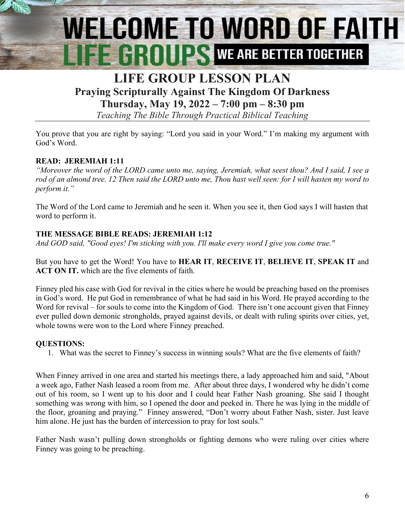# WELCOME TO WORD OF FAITH **EE GROUPS** WE ARE BETTER TOGETHER

## **LIFE GROUP LESSON PLAN Praying Scripturally Against The Kingdom Of Darkness Thursday, May 19, 2022 – 7:00 pm – 8:30 pm**

*Teaching The Bible Through Practical Biblical Teaching*

You prove that you are right by saying: "Lord you said in your Word." I'm making my argument with God's Word.

#### **READ: JEREMIAH 1:11**

*"Moreover the word of the LORD came unto me, saying, Jeremiah, what seest thou? And I said, I see a rod of an almond tree. 12 Then said the LORD unto me, Thou hast well seen: for I will hasten my word to perform it."*

The Word of the Lord came to Jeremiah and he seen it. When you see it, then God says I will hasten that word to perform it.

#### **THE MESSAGE BIBLE READS: JEREMIAH 1:12**

*And GOD said, "Good eyes! I'm sticking with you. I'll make every word I give you come true."*

But you have to get the Word! You have to **HEAR IT**, **RECEIVE IT**, **BELIEVE IT**, **SPEAK IT** and **ACT ON IT.** which are the five elements of faith.

Finney pled his case with God for revival in the cities where he would be preaching based on the promises in God's word. He put God in remembrance of what he had said in his Word. He prayed according to the Word for revival – for souls to come into the Kingdom of God. There isn't one account given that Finney ever pulled down demonic strongholds, prayed against devils, or dealt with ruling spirits over cities, yet, whole towns were won to the Lord where Finney preached.

#### **QUESTIONS:**

1. What was the secret to Finney's success in winning souls? What are the five elements of faith?

When Finney arrived in one area and started his meetings there, a lady approached him and said, "About a week ago, Father Nash leased a room from me. After about three days, I wondered why he didn't come out of his room, so I went up to his door and I could hear Father Nash groaning. She said I thought something was wrong with him, so I opened the door and peeked in. There he was lying in the middle of the floor, groaning and praying." Finney answered, "Don't worry about Father Nash, sister. Just leave him alone. He just has the burden of intercession to pray for lost souls."

Father Nash wasn't pulling down strongholds or fighting demons who were ruling over cities where Finney was going to be preaching.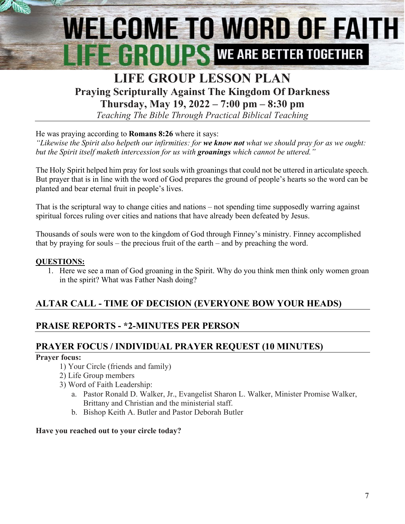# WELCOME TO WORD OF FAITH EEHIILS WE ARE BETTER TOGETHER

## **LIFE GROUP LESSON PLAN Praying Scripturally Against The Kingdom Of Darkness Thursday, May 19, 2022 – 7:00 pm – 8:30 pm**

*Teaching The Bible Through Practical Biblical Teaching*

He was praying according to **Romans 8:26** where it says:

*"Likewise the Spirit also helpeth our infirmities: for we know not what we should pray for as we ought: but the Spirit itself maketh intercession for us with groanings which cannot be uttered."*

The Holy Spirit helped him pray for lost souls with groanings that could not be uttered in articulate speech. But prayer that is in line with the word of God prepares the ground of people's hearts so the word can be planted and bear eternal fruit in people's lives.

That is the scriptural way to change cities and nations – not spending time supposedly warring against spiritual forces ruling over cities and nations that have already been defeated by Jesus.

Thousands of souls were won to the kingdom of God through Finney's ministry. Finney accomplished that by praying for souls – the precious fruit of the earth – and by preaching the word.

#### **QUESTIONS:**

1. Here we see a man of God groaning in the Spirit. Why do you think men think only women groan in the spirit? What was Father Nash doing?

### **ALTAR CALL - TIME OF DECISION (EVERYONE BOW YOUR HEADS)**

### **PRAISE REPORTS - \*2-MINUTES PER PERSON**

### **PRAYER FOCUS / INDIVIDUAL PRAYER REQUEST (10 MINUTES)**

#### **Prayer focus:**

- 1) Your Circle (friends and family)
- 2) Life Group members
- 3) Word of Faith Leadership:
	- a. Pastor Ronald D. Walker, Jr., Evangelist Sharon L. Walker, Minister Promise Walker, Brittany and Christian and the ministerial staff.
	- b. Bishop Keith A. Butler and Pastor Deborah Butler

#### **Have you reached out to your circle today?**